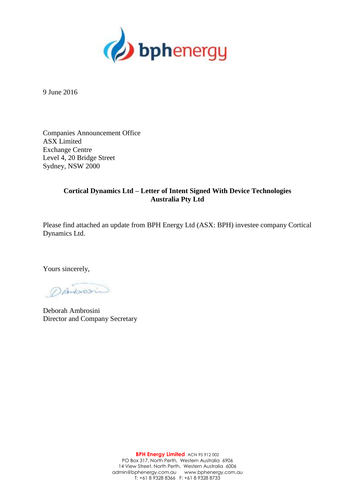

9 June 2016

Companies Announcement Office ASX Limited Exchange Centre Level 4, 20 Bridge Street Sydney, NSW 2000

# **Cortical Dynamics Ltd – Letter of Intent Signed With Device Technologies Australia Pty Ltd**

Please find attached an update from BPH Energy Ltd (ASX: BPH) investee company Cortical Dynamics Ltd.

Yours sincerely,

DANSION

Deborah Ambrosini Director and Company Secretary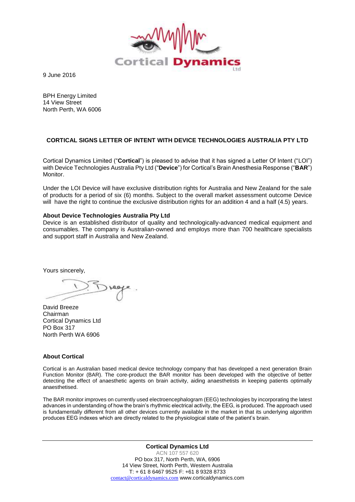

9 June 2016

BPH Energy Limited 14 View Street North Perth, WA 6006

## **CORTICAL SIGNS LETTER OF INTENT WITH DEVICE TECHNOLOGIES AUSTRALIA PTY LTD**

Cortical Dynamics Limited ("**Cortical**") is pleased to advise that it has signed a Letter Of Intent ("LOI") with Device Technologies Australia Pty Ltd ("**Device**") for Cortical's Brain Anesthesia Response ("**BAR**") Monitor.

Under the LOI Device will have exclusive distribution rights for Australia and New Zealand for the sale of products for a period of six (6) months. Subject to the overall market assessment outcome Device will have the right to continue the exclusive distribution rights for an addition 4 and a half (4.5) years.

#### **About Device Technologies Australia Pty Ltd**

Device is an established distributor of quality and technologically-advanced medical equipment and consumables. The company is Australian-owned and employs more than 700 healthcare specialists and support staff in Australia and New Zealand.

Yours sincerely,

David Breeze Chairman Cortical Dynamics Ltd PO Box 317 North Perth WA 6906

### **About Cortical**

Cortical is an Australian based medical device technology company that has developed a next generation Brain Function Monitor (BAR). The core-product the BAR monitor has been developed with the objective of better detecting the effect of anaesthetic agents on brain activity, aiding anaesthetists in keeping patients optimally anaesthetised.

The BAR monitor improves on currently used electroencephalogram (EEG) technologies by incorporating the latest advances in understanding of how the brain's rhythmic electrical activity, the EEG, is produced. The approach used is fundamentally different from all other devices currently available in the market in that its underlying algorithm produces EEG indexes which are directly related to the physiological state of the patient's brain.

> **Cortical Dynamics Ltd** ACN 107 557 620 PO box 317, North Perth, WA, 6906 14 View Street, North Perth, Western Australia T: + 61 8 6467 9525 F: +61 8 9328 8733 [contact@corticaldynamics.com](mailto:contact@corticaldynamics.com) www.corticaldynamics.com